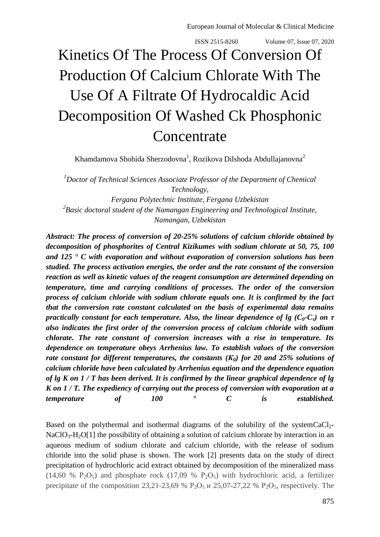# Kinetics Of The Process Of Conversion Of Production Of Calcium Chlorate With The Use Of A Filtrate Of Hydrocaldic Acid Decomposition Of Washed Ck Phosphonic **Concentrate**

Khamdamova Shohida Sherzodovna<sup>1</sup>, Rozikova Dilshoda Abdullajanovna<sup>2</sup>

*<sup>1</sup>Doctor of Technical Sciences Associate Professor of the Department of Chemical Technology, Fergana Polytechnic Institute, Fergana Uzbekistan 2 Basic doctoral student of the Namangan Engineering and Technological Institute, Namangan, Uzbekistan*

*Abstract: The process of conversion of 20-25% solutions of calcium chloride obtained by decomposition of phosphorites of Central Kizikumes with sodium chlorate at 50, 75, 100 and 125 ° C with evaporation and without evaporation of conversion solutions has been studied. The process activation energies, the order and the rate constant of the conversion reaction as well as kinetic values of the reagent consumption are determined depending on temperature, time and carrying conditions of processes. The order of the conversion process of calcium chloride with sodium chlorate equals one. It is confirmed by the fact that the conversion rate constant calculated on the basis of experimental data remains practically constant for each temperature. Also, the linear dependence of lg (* $C_0$ *-* $C_7$ *) on*  $\tau$ *also indicates the first order of the conversion process of calcium chloride with sodium chlorate. The rate constant of conversion increases with a rise in temperature. Its dependence on temperature obeys Arrhenius law. To establish values of the conversion rate constant for different temperatures, the constants (К0) for 20 and 25% solutions of calcium chloride have been calculated by Arrhenius equation and the dependence equation of lg K on 1 / T has been derived. It is confirmed by the linear graphical dependence of lg K on 1 / T. The expediency of carrying out the process of conversion with evaporation at a temperature of 100 ° C is established.* 

Based on the polythermal and isothermal diagrams of the solubility of the systemCaCl<sub>2</sub>- $NaClO<sub>3</sub>-H<sub>2</sub>O[1]$  the possibility of obtaining a solution of calcium chlorate by interaction in an aqueous medium of sodium chlorate and calcium chloride, with the release of sodium chloride into the solid phase is shown. The work [2] presents data on the study of direct precipitation of hydrochloric acid extract obtained by decomposition of the mineralized mass (14,60 %  $P_2O_5$ ) and phosphate rock (17,09 %  $P_2O_5$ ) with hydrochloric acid, a fertilizer precipitate of the composition 23,21-23,69 %  $P_2O_5$  и 25,07-27,22 %  $P_2O_5$ , respectively. The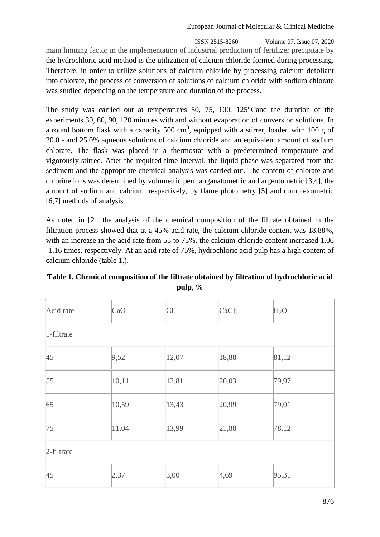ISSN 2515-8260 Volume 07, Issue 07, 2020 main limiting factor in the implementation of industrial production of fertilizer precipitate by the hydrochloric acid method is the utilization of calcium chloride formed during processing. Therefore, in order to utilize solutions of calcium chloride by processing calcium defoliant into chlorate, the process of conversion of solutions of calcium chloride with sodium chlorate was studied depending on the temperature and duration of the process.

The study was carried out at temperatures 50, 75, 100, 125°Cand the duration of the experiments 30, 60, 90, 120 minutes with and without evaporation of conversion solutions. In a round bottom flask with a capacity 500  $\text{cm}^3$ , equipped with a stirrer, loaded with 100 g of 20.0 - and 25.0% aqueous solutions of calcium chloride and an equivalent amount of sodium chlorate. The flask was placed in a thermostat with a predetermined temperature and vigorously stirred. After the required time interval, the liquid phase was separated from the sediment and the appropriate chemical analysis was carried out. The content of chlorate and chlorine ions was determined by volumetric permanganatometric and argentometric [3,4], the amount of sodium and calcium, respectively, by flame photometry [5] and complexometric [6,7] methods of analysis.

As noted in [2], the analysis of the chemical composition of the filtrate obtained in the filtration process showed that at a 45% acid rate, the calcium chloride content was 18.88%, with an increase in the acid rate from 55 to 75%, the calcium chloride content increased 1.06 -1.16 times, respectively. At an acid rate of 75%, hydrochloric acid pulp has a high content of calcium chloride (table 1.).

| Acid rate     | CaO   | CI    | CaCI <sub>2</sub> | H <sub>2</sub> O |
|---------------|-------|-------|-------------------|------------------|
| 1-filtrate    |       |       |                   |                  |
| 45            | 9,52  | 12,07 | 18,88             | 81,12            |
| 55            | 10,11 | 12,81 | 20,03             | 79,97            |
| 65            | 10,59 | 13,43 | 20,99             | 79,01            |
| 75            | 11,04 | 13,99 | 21,88             | 78,12            |
| $2$ -filtrate |       |       |                   |                  |
| 45            | 2,37  | 3,00  | 4,69              | 95,31            |

## **Table 1. Chemical composition of the filtrate obtained by filtration of hydrochloric acid pulp, %**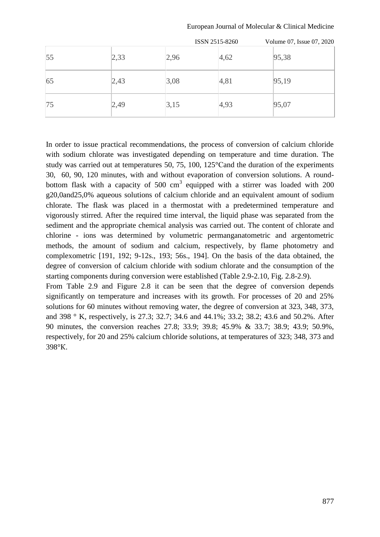|    |      | ISSN 2515-8260 |      | Volume 07, Issue 07, 2020 |
|----|------|----------------|------|---------------------------|
| 55 | 2,33 | 2,96           | 4,62 | 95,38                     |
| 65 | 2,43 | 3,08           | 4,81 | 95,19                     |
| 75 | 2,49 | 3,15           | 4,93 | 95,07                     |

European Journal of Molecular & Clinical Medicine

In order to issue practical recommendations, the process of conversion of calcium chloride with sodium chlorate was investigated depending on temperature and time duration. The study was carried out at temperatures 50, 75, 100, 125°Сand the duration of the experiments 30, 60, 90, 120 minutes, with and without evaporation of conversion solutions. A roundbottom flask with a capacity of 500  $\text{cm}^3$  equipped with a stirrer was loaded with 200 g20,0and25,0% aqueous solutions of calcium chloride and an equivalent amount of sodium chlorate. The flask was placed in a thermostat with a predetermined temperature and vigorously stirred. After the required time interval, the liquid phase was separated from the sediment and the appropriate chemical analysis was carried out. The content of chlorate and chlorine - ions was determined by volumetric permanganatometric and argentometric methods, the amount of sodium and calcium, respectively, by flame photometry and complexometric [191, 192; 9-12s., 193; 56s., 194]. On the basis of the data obtained, the degree of conversion of calcium chloride with sodium chlorate and the consumption of the starting components during conversion were established (Table 2.9-2.10, Fig. 2.8-2.9).

From Table 2.9 and Figure 2.8 it can be seen that the degree of conversion depends significantly on temperature and increases with its growth. For processes of 20 and 25% solutions for 60 minutes without removing water, the degree of conversion at 323, 348, 373, and 398 ° K, respectively, is 27.3; 32.7; 34.6 and 44.1%; 33.2; 38.2; 43.6 and 50.2%. After 90 minutes, the conversion reaches 27.8; 33.9; 39.8; 45.9% & 33.7; 38.9; 43.9; 50.9%, respectively, for 20 and 25% calcium chloride solutions, at temperatures of 323; 348, 373 and 398°К.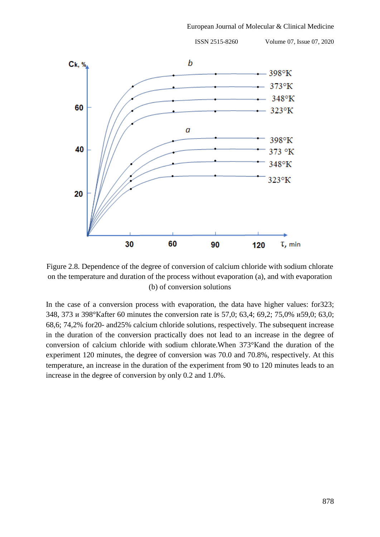

Figure 2.8. Dependence of the degree of conversion of calcium chloride with sodium chlorate on the temperature and duration of the process without evaporation (a), and with evaporation (b) of conversion solutions

In the case of a conversion process with evaporation, the data have higher values: for323; 348, 373 и 398°Кafter 60 minutes the conversion rate is 57,0; 63,4; 69,2; 75,0% и59,0; 63,0; 68,6; 74,2% for20- and25% calcium chloride solutions, respectively. The subsequent increase in the duration of the conversion practically does not lead to an increase in the degree of conversion of calcium chloride with sodium chlorate.When 373°Кand the duration of the experiment 120 minutes, the degree of conversion was 70.0 and 70.8%, respectively. At this temperature, an increase in the duration of the experiment from 90 to 120 minutes leads to an increase in the degree of conversion by only 0.2 and 1.0%.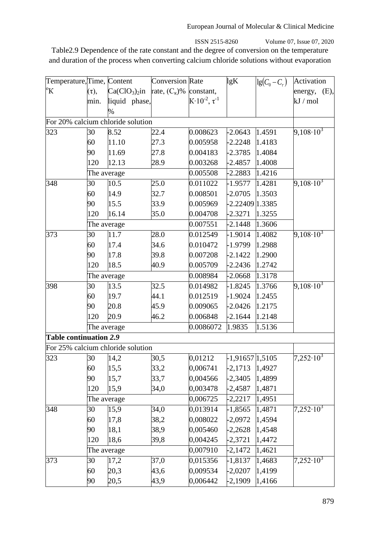ISSN 2515-8260 Volume 07, Issue 07, 2020 Table2.9 Dependence of the rate constant and the degree of conversion on the temperature and duration of the process when converting calcium chloride solutions without evaporation

| Temperature, Time, Content |             |                                         | <b>Conversion</b> Rate |                                 | lgK               | $\lg(C_0-C_\tau)$ | Activation                  |
|----------------------------|-------------|-----------------------------------------|------------------------|---------------------------------|-------------------|-------------------|-----------------------------|
| $\rm ^{o}K$                | $(\tau)$ ,  | $Ca(CIO3)2$ in rate, $(CK)$ % constant, |                        |                                 |                   |                   | energy, $(E)$ ,             |
|                            | min.        | liquid phase,                           |                        | $K \cdot 10^{-2}$ , $\tau^{-1}$ |                   |                   | $kJ$ / mol                  |
|                            |             | $\%$                                    |                        |                                 |                   |                   |                             |
|                            |             | For 20% calcium chloride solution       |                        |                                 |                   |                   |                             |
| 323                        | 30          | 8.52                                    | 22.4                   | 0.008623                        | $-2.0643$         | 1.4591            | $9,108\cdot10^3$            |
|                            | 60          | 11.10                                   | 27.3                   | 0.005958                        | $-2.2248$         | 1.4183            |                             |
|                            | 90          | 11.69                                   | 27.8                   | 0.004183                        | $-2.3785$         | 1.4084            |                             |
|                            | 120         | 12.13                                   | 28.9                   | 0.003268                        | $-2.4857$         | 1.4008            |                             |
|                            | The average |                                         |                        | 0.005508                        | $-2.2883$         | 1.4216            |                             |
| 348                        | 30          | 10.5                                    | 25.0                   | 0.011022                        | $-1.9577$         | 1.4281            | $9,108\cdot10^3$            |
|                            | 60          | 14.9                                    | 32.7                   | 0.008501                        | $-2.0705$         | 1.3503            |                             |
|                            | 90          | 15.5                                    | 33.9                   | 0.005969                        | -2.22409 1.3385   |                   |                             |
|                            | 120         | 16.14                                   | 35.0                   | 0.004708                        | $-2.3271$         | 1.3255            |                             |
|                            | The average |                                         |                        | 0.007551                        | $-2.1448$         | 1.3606            |                             |
| 373                        | 30          | 11.7                                    | 28.0                   | 0.012549                        | $-1.9014$         | 1.4082            | $9,108\cdot\overline{10^3}$ |
|                            | 60          | 17.4                                    | 34.6                   | 0.010472                        | $-1.9799$         | 1.2988            |                             |
|                            | 90          | 17.8                                    | 39.8                   | 0.007208                        | $-2.1422$         | 1.2900            |                             |
|                            | 120         | 18.5                                    | 40.9                   | 0.005709                        | $-2.2436$         | 1.2742            |                             |
|                            | The average |                                         |                        | 0.008984                        | -2.0668           | 1.3178            |                             |
| 398                        | 30          | 13.5                                    | 32.5                   | 0.014982                        | $-1.8245$         | 1.3766            | $9,108\cdot 10^3$           |
|                            | 60          | 19.7                                    | 44.1                   | 0.012519                        | $-1.9024$         | 1.2455            |                             |
|                            | 90          | 20.8                                    | 45.9                   | 0.009065                        | $-2.0426$         | 1.2175            |                             |
|                            | 120         | 20.9                                    | 46.2                   | 0.006848                        | $-2.1644$         | 1.2148            |                             |
|                            | The average |                                         |                        | 0.0086072                       | 1.9835            | 1.5136            |                             |
| Table continuation 2.9     |             |                                         |                        |                                 |                   |                   |                             |
|                            |             | For 25% calcium chloride solution       |                        |                                 |                   |                   |                             |
| 323                        | 30          | 14,2                                    | 30,5                   | 0,01212                         | $-1,91657 1,5105$ |                   | $7,252 \cdot 10^3$          |
|                            | 60          | 15,5                                    | 33,2                   | 0,006741                        | $-2,1713$         | 1,4927            |                             |
|                            | 90          | 15,7                                    | 33,7                   | 0,004566                        | $-2,3405$         | 1,4899            |                             |
|                            | 120         | 15,9                                    | 34,0                   | 0,003478                        | $-2,4587$         | 1,4871            |                             |
|                            | The average |                                         |                        | 0,006725                        | $-2,2217$         | 1,4951            |                             |
| 348                        | 30          | 15,9                                    | 34,0                   | 0,013914                        | $-1,8565$         | 1,4871            | $7,252\cdot\overline{10^3}$ |
|                            | 60          | 17,8                                    | 38,2                   | 0,008022                        | $-2,0972$         | 1,4594            |                             |
|                            | 90          | 18,1                                    | 38,9                   | 0,005460                        | $-2,2628$         | 1,4548            |                             |
|                            | 120         | 18,6                                    | 39,8                   | 0,004245                        | $-2,3721$         | 1,4472            |                             |
|                            | The average |                                         |                        | 0,007910                        | $-2,1472$         | 1,4621            |                             |
| 373                        | 30          | 17,2                                    | 37,0                   | 0,015356                        | $-1,8137$         | 1,4683            | $7,252 \cdot 10^3$          |
|                            | 60          | 20,3                                    | 43,6                   | 0,009534                        | $-2,0207$         | 1,4199            |                             |
|                            | 90          | 20,5                                    | 43,9                   | 0,006442                        | $-2,1909$         | 1,4166            |                             |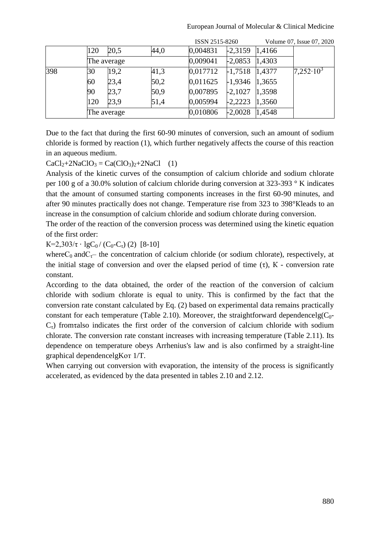|     |             |      |      | ISSN 2515-8260 |           |        | Volume 07, Issue 07, 2020 |
|-----|-------------|------|------|----------------|-----------|--------|---------------------------|
|     | 120         | 20,5 | 44,0 | 0,004831       | $-2,3159$ | 1,4166 |                           |
|     | The average |      |      | 0,009041       | $-2,0853$ | 1,4303 |                           |
| 398 | 30          | 19,2 | 41,3 | 0,017712       | $-1,7518$ | 1,4377 | $7,252 \cdot 10^3$        |
|     | 60          | 23,4 | 50,2 | 0,011625       | $-1,9346$ | 1,3655 |                           |
|     | 90          | 23,7 | 50,9 | 0,007895       | $-2,1027$ | 1,3598 |                           |
|     | 120         | 23,9 | 51,4 | 0,005994       | $-2,2223$ | 1,3560 |                           |
|     | The average |      |      | 0,010806       | $-2,0028$ | 1,4548 |                           |

Due to the fact that during the first 60-90 minutes of conversion, such an amount of sodium chloride is formed by reaction (1), which further negatively affects the course of this reaction in an aqueous medium.

 $CaCl<sub>2</sub>+2NaClO<sub>3</sub> = Ca(ClO<sub>3</sub>)<sub>2</sub>+2NaCl (1)$ 

Analysis of the kinetic curves of the consumption of calcium chloride and sodium chlorate per 100 g of a 30.0% solution of calcium chloride during conversion at 323-393 ° K indicates that the amount of consumed starting components increases in the first 60-90 minutes, and after 90 minutes practically does not change. Temperature rise from 323 to 398°Кleads to an increase in the consumption of calcium chloride and sodium chlorate during conversion.

The order of the reaction of the conversion process was determined using the kinetic equation of the first order:

 $K=2,303/\tau \cdot \lg C_0 / (C_0-C_\tau)$  (2) [8-10]

where $C_0$  and  $C_{\tau}$  the concentration of calcium chloride (or sodium chlorate), respectively, at the initial stage of conversion and over the elapsed period of time  $(\tau)$ , K - conversion rate constant.

According to the data obtained, the order of the reaction of the conversion of calcium chloride with sodium chlorate is equal to unity. This is confirmed by the fact that the conversion rate constant calculated by Eq. (2) based on experimental data remains practically constant for each temperature (Table 2.10). Moreover, the straightforward dependencelg( $C_0$ - $C<sub>1</sub>$ ) from talso indicates the first order of the conversion of calcium chloride with sodium chlorate. The conversion rate constant increases with increasing temperature (Table 2.11). Its dependence on temperature obeys Arrhenius's law and is also confirmed by a straight-line graphical dependencelgKот 1/T.

When carrying out conversion with evaporation, the intensity of the process is significantly accelerated, as evidenced by the data presented in tables 2.10 and 2.12.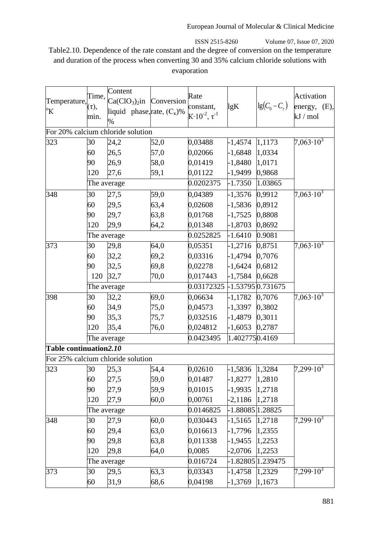ISSN 2515-8260 Volume 07, Issue 07, 2020 Table2.10. Dependence of the rate constant and the degree of conversion on the temperature and duration of the process when converting 30 and 35% calcium chloride solutions with evaporation

|                               |             | Content                           |      |                                 |                  |                    |                             |
|-------------------------------|-------------|-----------------------------------|------|---------------------------------|------------------|--------------------|-----------------------------|
| Temperature, $\bar{(\tau)}$ , | Time,       | $Ca(CIO3)2$ in Conversion         |      | Rate                            |                  |                    | Activation                  |
| $\rm ^{o}K$                   |             | liquid phase, rate, $(C_{K})\%$   |      | constant,                       | lgK              | $\lg(C_0-C_\tau)$  | energy, (E),                |
|                               | min.        | $\%$                              |      | $K \cdot 10^{-2}$ , $\tau^{-1}$ |                  |                    | $kJ$ / mol                  |
|                               |             | For 20% calcium chloride solution |      |                                 |                  |                    |                             |
| 323                           | 30          | 24,2                              | 52,0 | 0,03488                         | $-1,4574$        | 1,1173             | $7,063\cdot10^{3}$          |
|                               | 60          | 26,5                              | 57,0 | 0,02066                         | $-1,6848$        | 1,0334             |                             |
|                               | 90          | 26,9                              | 58,0 | 0,01419                         | $-1,8480$        | 1,0171             |                             |
|                               | 120         | 27,6                              | 59,1 | 0,01122                         | $-1,9499$        | 0,9868             |                             |
|                               | The average |                                   |      | 0.0202375                       | $-1.7350$        | 1.03865            |                             |
| 348                           | 30          | 27,5                              | 59,0 | 0,04389                         | $-1,3576$        | 0,9912             | $7,063\cdot10^{3}$          |
|                               | 60          | 29,5                              | 63,4 | 0,02608                         | $-1,5836$        | 0,8912             |                             |
|                               | 90          | 29,7                              | 63,8 | 0,01768                         | $-1,7525$        | 0,8808             |                             |
|                               | 120         | 29,9                              | 64,2 | 0,01348                         | $-1,8703$        | 0,8692             |                             |
|                               |             | The average                       |      | 0.0252825                       | $-1.6410$        | 0.9081             |                             |
| 373                           | 30          | 29,8                              |      |                                 |                  | 0,8751             | $7,063\cdot10^3$            |
|                               |             |                                   | 64,0 | 0,05351                         | $-1,2716$        |                    |                             |
|                               | 60          | 32,2                              | 69,2 | 0,03316                         | $-1,4794$        | 0,7076             |                             |
|                               | 90          | 32,5                              | 69,8 | 0,02278                         | $-1,6424$        | 0,6812             |                             |
|                               | 120         | 32,7                              | 70,0 | 0,017443                        | $-1,7584$        | 0,6628             |                             |
|                               |             | The average                       |      | 0.03172325                      |                  | $-1.537950.731675$ |                             |
| 398                           | 30          | 32,2                              | 69,0 | 0,06634                         | $-1,1782$        | 0,7076             | $7,063\cdot10^3$            |
|                               | 60          | 34,9                              | 75,0 | 0,04573                         | $-1,3397$        | 0,3802             |                             |
|                               | 90          | 35,3                              | 75,7 | 0,032516                        | $-1,4879$        | 0,3011             |                             |
|                               | 120         | 35,4                              | 76,0 | 0,024812                        | $-1,6053$        | 0,2787             |                             |
|                               | The average |                                   |      | 0.0423495                       | 1.4027750.4169   |                    |                             |
| Table continuation2.10        |             |                                   |      |                                 |                  |                    |                             |
|                               |             | For 25% calcium chloride solution |      |                                 |                  |                    |                             |
| 323                           | 30          | 25,3                              | 54,4 | 0,02610                         | $-1,5836$        | 1,3284             | $7,299\cdot\overline{10^3}$ |
|                               | 60          | 27,5                              | 59,0 | 0,01487                         | $-1,8277$        | 1,2810             |                             |
|                               | 90          | 27,9                              | 59,9 | 0,01015                         | $-1,9935$        | 1,2718             |                             |
|                               | 120         | 27,9                              | 60,0 | 0,00761                         | $-2,1186$        | 1,2718             |                             |
|                               |             | The average                       |      | 0.0146825                       | -1.88085 1.28825 |                    |                             |
| 348                           | 30          | 27,9                              | 60,0 | 0,030443                        | $-1,5165$        | 1,2718             | $7,299.10^{3}$              |
|                               | 60          | 29,4                              | 63,0 | 0,016613                        | $-1,7796$        | 1,2355             |                             |
|                               | 90          | 29,8                              | 63,8 | 0,011338                        | $-1,9455$        | 1,2253             |                             |
|                               | 120         | 29,8                              | 64,0 | 0,0085                          | $-2,0706$        | 1,2253             |                             |
|                               | The average |                                   |      | 0.016724                        |                  | -1.82805 1.239475  |                             |
| 373                           | 30          | 29,5                              | 63,3 | 0,03343                         | $-1,4758$        | 1,2329             | $7,299.10^{3}$              |
|                               | 60          | 31,9                              | 68,6 | 0,04198                         | $-1,3769$        | 1,1673             |                             |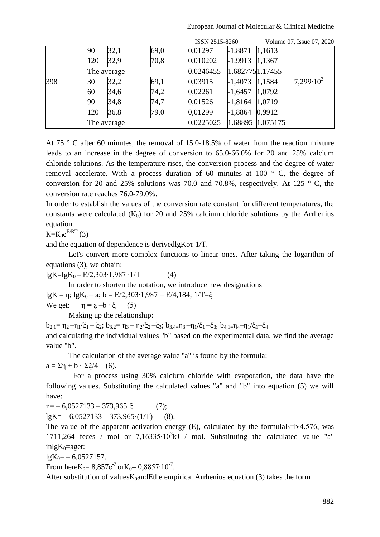|     |             |      |      | ISSN 2515-8260 |                 |          | Volume 07, Issue 07, 2020 |
|-----|-------------|------|------|----------------|-----------------|----------|---------------------------|
|     | 90          | 32,1 | 69,0 | 0,01297        | $-1,8871$       | 1,1613   |                           |
|     | 120         | 32,9 | 70,8 | 0,010202       | $-1,9913$       | 1,1367   |                           |
|     | The average |      |      | 0.0246455      | 1.6827751.17455 |          |                           |
| 398 | 30          | 32,2 | 69,1 | 0,03915        | $-1,4073$       | 1,1584   | $7,299.10^3$              |
|     | 60          | 34,6 | 74,2 | 0,02261        | $-1,6457$       | 1,0792   |                           |
|     | 90          | 34,8 | 74,7 | 0,01526        | $-1,8164$       | 1,0719   |                           |
|     | 120         | 36,8 | 79,0 | 0,01299        | $-1,8864$       | 0,9912   |                           |
|     | The average |      |      | 0.0225025      | 1.68895         | 1.075175 |                           |

At 75 ° C after 60 minutes, the removal of 15.0-18.5% of water from the reaction mixture leads to an increase in the degree of conversion to 65.0-66.0% for 20 and 25% calcium chloride solutions. As the temperature rises, the conversion process and the degree of water removal accelerate. With a process duration of 60 minutes at 100 ° C, the degree of conversion for 20 and 25% solutions was 70.0 and 70.8%, respectively. At 125  $\degree$  C, the conversion rate reaches 76.0-79.0%.

In order to establish the values of the conversion rate constant for different temperatures, the constants were calculated  $(K_0)$  for 20 and 25% calcium chloride solutions by the Arrhenius equation.

 $K = K_0 e^{E/RT}$  (3)

and the equation of dependence is derivedlgKот 1/Т.

Let's convert more complex functions to linear ones. After taking the logarithm of equations (3), we obtain:

 $lgK=lgK_0 - E/2,303 \cdot 1,987 \cdot 1/T$  (4)

In order to shorten the notation, we introduce new designations

lgK = η; lgK<sub>0</sub> = a; b = E/2,303⋅1,987 = E/4,184; 1/T=ξ

We get:  $\eta = a - b \cdot \xi$  (5)

Making up the relationship:

 $b_{2,1} = \eta_2 - \eta_1/\xi_1 - \xi_2$ ;  $b_{3,2} = \eta_3 - \eta_2/\xi_2 - \xi_3$ ;  $b_{3,4} = \eta_3 - \eta_1/\xi_1 - \xi_3$ ;  $b_{4,1} = \eta_4 - \eta_1/\xi_1 - \xi_4$ and calculating the individual values "b" based on the experimental data, we find the average value "b".

The calculation of the average value "a" is found by the formula:

 $a = \Sigma \eta + b \cdot \Sigma \xi/4$  (6).

For a process using 30% calcium chloride with evaporation, the data have the following values. Substituting the calculated values "a" and "b" into equation (5) we will have:

 $\eta = -6.0527133 - 373.965 \cdot \xi$  (7);

 $lgK = -6.0527133 - 373.965 \cdot (1/T)$  (8).

The value of the apparent activation energy (E), calculated by the formulaЕ=b∙4,576, was 1711,264 feces / mol or 7,16335⋅10<sup>3</sup>kJ / mol. Substituting the calculated value "a"  $inlgK<sub>0</sub>=aget$ :

 $lgK_0 = -6,0527157.$ 

From hereK<sub>0</sub>=  $8,857e^{-7}$  orK<sub>0</sub>=  $0,8857 \cdot 10^{-7}$ .

After substitution of values $K_0$ andEthe empirical Arrhenius equation (3) takes the form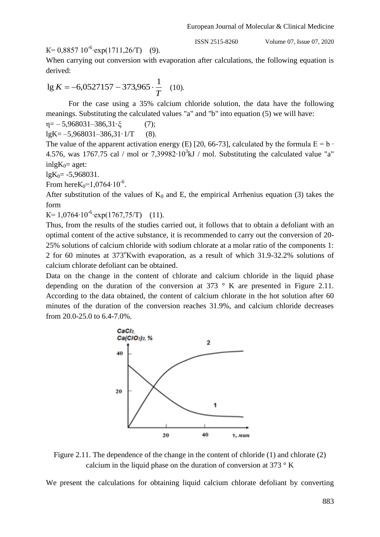K= 0,8857  $10^{-6}$ · $\exp(1711,26/T)$  (9).

ISSN 2515-8260 Volume 07, Issue 07, 2020

When carrying out conversion with evaporation after calculations, the following equation is derived:

$$
\lg K = -6.0527157 - 373.965 \cdot \frac{1}{T} \quad (10).
$$

For the case using a 35% calcium chloride solution, the data have the following meanings. Substituting the calculated values "a" and "b" into equation (5) we will have:

$$
\eta = -5,968031-386,31 \cdot \xi \tag{7};
$$
  
\n
$$
lgK = -5,968031-386,31 \cdot 1/T \tag{8}.
$$

The value of the apparent activation energy (E) [20, 66-73], calculated by the formula  $E = b \cdot$ 4.576, was 1767.75 cal / mol or 7,39982⋅10<sup>3</sup>kJ / mol. Substituting the calculated value "a"  $inlgK<sub>0</sub>=$  aget:

 $lgK_0 = -5,968031.$ 

From hereK<sub>0</sub>=1,0764⋅10<sup>-6</sup>.

After substitution of the values of  $K_0$  and E, the empirical Arrhenius equation (3) takes the form

K= 1,0764⋅10<sup>-6</sup>⋅ $\exp(1767,75/T)$  (11).

Thus, from the results of the studies carried out, it follows that to obtain a defoliant with an optimal content of the active substance, it is recommended to carry out the conversion of 20- 25% solutions of calcium chloride with sodium chlorate at a molar ratio of the components 1: 2 for 60 minutes at 373<sup>o</sup>Kwith evaporation, as a result of which 31.9-32.2% solutions of calcium chlorate defoliant can be obtained.

Data on the change in the content of chlorate and calcium chloride in the liquid phase depending on the duration of the conversion at  $373$  ° K are presented in Figure 2.11. According to the data obtained, the content of calcium chlorate in the hot solution after 60 minutes of the duration of the conversion reaches 31.9%, and calcium chloride decreases from 20.0-25.0 to 6.4-7.0%.



Figure 2.11. The dependence of the change in the content of chloride (1) and chlorate (2) calcium in the liquid phase on the duration of conversion at 373  $\,^{\circ}$  K

We present the calculations for obtaining liquid calcium chlorate defoliant by converting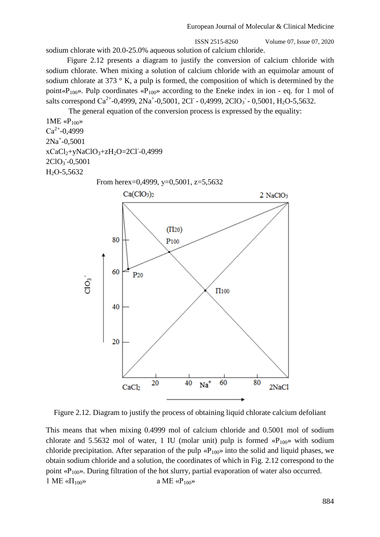sodium chlorate with 20.0-25.0% aqueous solution of calcium chloride.

 Figure 2.12 presents a diagram to justify the conversion of calcium chloride with sodium chlorate. When mixing a solution of calcium chloride with an equimolar amount of sodium chlorate at 373  $\degree$  K, a pulp is formed, the composition of which is determined by the point« $P_{100}$ ». Pulp coordinates « $P_{100}$ » according to the Eneke index in ion - eq. for 1 mol of salts correspond Ca<sup>2+</sup>-0,4999, 2Na<sup>+</sup>-0,5001, 2Cl<sup>-</sup> - 0,4999, 2ClO<sub>3</sub><sup>-</sup> - 0,5001, H<sub>2</sub>O-5,5632.

The general equation of the conversion process is expressed by the equality:

 $1ME \ll P_{100}$  $Ca^{2+}-0,4999$ 2Na<sup>+</sup> -0,5001  $xCaCl<sub>2</sub>+yNaClO<sub>3</sub>+zH<sub>2</sub>O=2Cl-0,4999$  $2ClO<sub>3</sub> - 0,5001$ Н2О-5,5632

From hereх=0,4999, у=0,5001, z=5,5632



Figure 2.12. Diagram to justify the process of obtaining liquid chlorate calcium defoliant

This means that when mixing 0.4999 mol of calcium chloride and 0.5001 mol of sodium chlorate and 5.5632 mol of water, 1 IU (molar unit) pulp is formed « $P_{100}$ » with sodium chloride precipitation. After separation of the pulp  $\langle P_{100} \rangle$  into the solid and liquid phases, we obtain sodium chloride and a solution, the coordinates of which in Fig. 2.12 correspond to the point « $P_{100}$ ». During filtration of the hot slurry, partial evaporation of water also occurred. 1 ME « $\Pi_{100}$ » a ME « $P_{100}$ »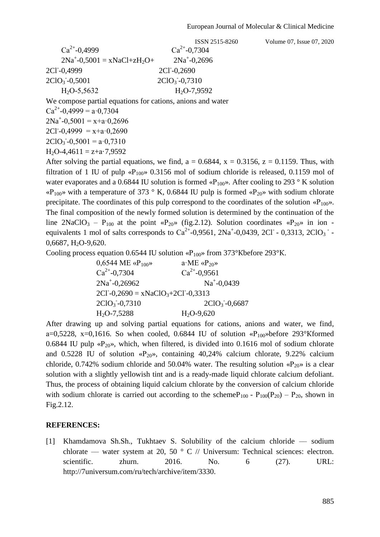| $Ca^{2+}-0.4999$                   | $Ca^{2+}-0.7304$ |
|------------------------------------|------------------|
| $2Na^{+}-0.5001 = xNaCl + zH_2O +$ | $2Na^+ - 0.2696$ |
| 2CI-0,4999                         | $2CI - 0,2690$   |
| $2ClO3 - 0,5001$                   | $2ClO3-0,7310$   |
| $H2O-5,5632$                       | $H2O-7,9592$     |

We compose partial equations for cations, anions and water

 $Ca^{2+}-0,4999 = a \cdot 0,7304$  $2Na^{+}-0,5001 = x+a \cdot 0,2696$  $2CI - 0,4999 = x + a \cdot 0,2690$  $2ClO<sub>3</sub> - 0,5001 = a \cdot 0,7310$  $H_2O-4,4611 = z+a-7,9592$ 

After solving the partial equations, we find,  $a = 0.6844$ ,  $x = 0.3156$ ,  $z = 0.1159$ . Thus, with filtration of 1 IU of pulp « $P_{100}$ » 0.3156 mol of sodium chloride is released, 0.1159 mol of water evaporates and a 0.6844 IU solution is formed « $P_{100}$ ». After cooling to 293 ° K solution « $P_{100}$ » with a temperature of 373 ° K, 0.6844 IU pulp is formed « $P_{20}$ » with sodium chlorate precipitate. The coordinates of this pulp correspond to the coordinates of the solution « $P_{100}$ ». The final composition of the newly formed solution is determined by the continuation of the line  $2\text{NaClO}_3$  – P<sub>100</sub> at the point «P<sub>20</sub>» (fig. 2.12). Solution coordinates «P<sub>20</sub>» in ion equivalents 1 mol of salts corresponds to  $Ca^{2+}$ -0,9561, 2Na<sup>+</sup>-0,0439, 2Cl<sup>-</sup> - 0,3313, 2ClO<sub>3</sub><sup>-</sup> - $0.6687, H<sub>2</sub>O-9.620.$ 

Cooling process equation 0.6544 IU solution « $P_{100}$ » from 373°Kbefore 293°K.

| 0,6544 ME « $P_{100}$ »               | $a \cdot ME \langle P_{20} \rangle$ |
|---------------------------------------|-------------------------------------|
| $Ca^{2+}-0.7304$                      | $Ca^{2+}-0.9561$                    |
| $2Na^+ - 0.26962$                     | $Na^+ - 0.0439$                     |
| $2CI - 0,2690 = xNaClO3+2CI - 0,3313$ |                                     |
| $2ClO3 -0,7310$                       | $2ClO3 - 0,6687$                    |
| $H2O-7,5288$                          | $H_2O-9,620$                        |
|                                       |                                     |

After drawing up and solving partial equations for cations, anions and water, we find, a=0,5228, x=0,1616. So when cooled, 0.6844 IU of solution « $P_{100}$ »before 293°Kformed 0.6844 IU pulp « $P_{20}$ », which, when filtered, is divided into 0.1616 mol of sodium chlorate and 0.5228 IU of solution « $P_{20}$ », containing 40,24% calcium chlorate, 9.22% calcium chloride, 0.742% sodium chloride and 50.04% water. The resulting solution « $P_{20}$ » is a clear solution with a slightly yellowish tint and is a ready-made liquid chlorate calcium defoliant. Thus, the process of obtaining liquid calcium chlorate by the conversion of calcium chloride with sodium chlorate is carried out according to the scheme  $P_{100}$  -  $P_{100}(P_{20})$  –  $P_{20}$ , shown in Fig.2.12.

#### **REFERENCES:**

[1] Khamdamova Sh.Sh., Tukhtaev S. Solubility of the calcium chloride –– sodium chlorate — water system at 20, 50  $\degree$  C // Universum: Technical sciences: electron. scientific. zhurn. 2016. No. 6 (27). URL: http://7universum.com/ru/tech/archive/item/3330.